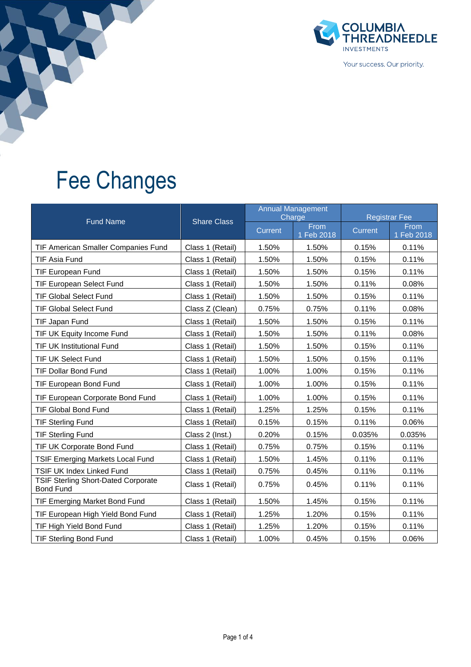

Your success. Our priority.

## Fee Changes

|                                                                |                    |                | <b>Annual Management</b><br>Charge | <b>Registrar Fee</b> |                    |  |
|----------------------------------------------------------------|--------------------|----------------|------------------------------------|----------------------|--------------------|--|
| <b>Fund Name</b>                                               | <b>Share Class</b> | <b>Current</b> | From<br>1 Feb 2018                 | <b>Current</b>       | From<br>1 Feb 2018 |  |
| TIF American Smaller Companies Fund                            | Class 1 (Retail)   | 1.50%          | 1.50%                              | 0.15%                | 0.11%              |  |
| <b>TIF Asia Fund</b>                                           | Class 1 (Retail)   | 1.50%          | 1.50%                              | 0.15%                | 0.11%              |  |
| <b>TIF European Fund</b>                                       | Class 1 (Retail)   | 1.50%          | 1.50%                              | 0.15%                | 0.11%              |  |
| <b>TIF European Select Fund</b>                                | Class 1 (Retail)   | 1.50%          | 1.50%                              | 0.11%                | 0.08%              |  |
| <b>TIF Global Select Fund</b>                                  | Class 1 (Retail)   | 1.50%          | 1.50%                              | 0.15%                | 0.11%              |  |
| <b>TIF Global Select Fund</b>                                  | Class Z (Clean)    | 0.75%          | 0.75%                              | 0.11%                | 0.08%              |  |
| TIF Japan Fund                                                 | Class 1 (Retail)   | 1.50%          | 1.50%                              | 0.15%                | 0.11%              |  |
| TIF UK Equity Income Fund                                      | Class 1 (Retail)   | 1.50%          | 1.50%                              | 0.11%                | 0.08%              |  |
| <b>TIF UK Institutional Fund</b>                               | Class 1 (Retail)   | 1.50%          | 1.50%                              | 0.15%                | 0.11%              |  |
| TIF UK Select Fund                                             | Class 1 (Retail)   | 1.50%          | 1.50%                              | 0.15%                | 0.11%              |  |
| <b>TIF Dollar Bond Fund</b>                                    | Class 1 (Retail)   | 1.00%          | 1.00%                              | 0.15%                | 0.11%              |  |
| TIF European Bond Fund                                         | Class 1 (Retail)   | 1.00%          | 1.00%                              | 0.15%                | 0.11%              |  |
| TIF European Corporate Bond Fund                               | Class 1 (Retail)   | 1.00%          | 1.00%                              | 0.15%                | 0.11%              |  |
| <b>TIF Global Bond Fund</b>                                    | Class 1 (Retail)   | 1.25%          | 1.25%                              | 0.15%                | 0.11%              |  |
| <b>TIF Sterling Fund</b>                                       | Class 1 (Retail)   | 0.15%          | 0.15%                              | 0.11%                | 0.06%              |  |
| <b>TIF Sterling Fund</b>                                       | Class 2 (Inst.)    | 0.20%          | 0.15%                              | 0.035%               | 0.035%             |  |
| TIF UK Corporate Bond Fund                                     | Class 1 (Retail)   | 0.75%          | 0.75%                              | 0.15%                | 0.11%              |  |
| <b>TSIF Emerging Markets Local Fund</b>                        | Class 1 (Retail)   | 1.50%          | 1.45%                              | 0.11%                | 0.11%              |  |
| TSIF UK Index Linked Fund                                      | Class 1 (Retail)   | 0.75%          | 0.45%                              | 0.11%                | 0.11%              |  |
| <b>TSIF Sterling Short-Dated Corporate</b><br><b>Bond Fund</b> | Class 1 (Retail)   | 0.75%          | 0.45%                              | 0.11%                | 0.11%              |  |
| TIF Emerging Market Bond Fund                                  | Class 1 (Retail)   | 1.50%          | 1.45%                              | 0.15%                | 0.11%              |  |
| TIF European High Yield Bond Fund                              | Class 1 (Retail)   | 1.25%          | 1.20%                              | 0.15%                | 0.11%              |  |
| TIF High Yield Bond Fund                                       | Class 1 (Retail)   | 1.25%          | 1.20%                              | 0.15%                | 0.11%              |  |
| <b>TIF Sterling Bond Fund</b>                                  | Class 1 (Retail)   | 1.00%          | 0.45%                              | 0.15%                | 0.06%              |  |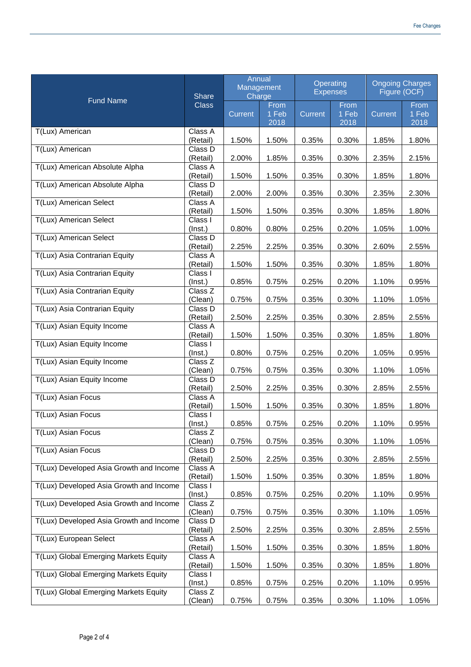| <b>Fund Name</b>                        | Share<br><b>Class</b>                  | Annual<br>Management<br>Charge |                       | Operating<br><b>Expenses</b> |                       | <b>Ongoing Charges</b><br>Figure (OCF) |                       |
|-----------------------------------------|----------------------------------------|--------------------------------|-----------------------|------------------------------|-----------------------|----------------------------------------|-----------------------|
|                                         |                                        | Current                        | From<br>1 Feb<br>2018 | Current                      | From<br>1 Feb<br>2018 | Current                                | From<br>1 Feb<br>2018 |
| T(Lux) American                         | Class A<br>(Retail)                    | 1.50%                          | 1.50%                 | 0.35%                        | 0.30%                 | 1.85%                                  | 1.80%                 |
| T(Lux) American                         | Class D<br>(Retail)                    | 2.00%                          | 1.85%                 | 0.35%                        | 0.30%                 | 2.35%                                  | 2.15%                 |
| T(Lux) American Absolute Alpha          | Class A<br>(Retail)                    | 1.50%                          | 1.50%                 | 0.35%                        | 0.30%                 | 1.85%                                  | 1.80%                 |
| T(Lux) American Absolute Alpha          | Class D<br>(Retail)                    | 2.00%                          | 2.00%                 | 0.35%                        | 0.30%                 | 2.35%                                  | 2.30%                 |
| T(Lux) American Select                  | Class A<br>(Retail)                    | 1.50%                          | 1.50%                 | 0.35%                        | 0.30%                 | 1.85%                                  | 1.80%                 |
| T(Lux) American Select                  | Class I<br>$($ lnst. $)$               | 0.80%                          | 0.80%                 | 0.25%                        | 0.20%                 | 1.05%                                  | 1.00%                 |
| <b>T(Lux) American Select</b>           | Class D<br>(Retail)                    | 2.25%                          | 2.25%                 | 0.35%                        | 0.30%                 | 2.60%                                  | 2.55%                 |
| T(Lux) Asia Contrarian Equity           | Class A<br>(Retail)                    | 1.50%                          | 1.50%                 | 0.35%                        | 0.30%                 | 1.85%                                  | 1.80%                 |
| T(Lux) Asia Contrarian Equity           | Class I<br>(Inst.)                     | 0.85%                          | 0.75%                 | 0.25%                        | 0.20%                 | 1.10%                                  | 0.95%                 |
| T(Lux) Asia Contrarian Equity           | Class Z<br>(Clean)                     | 0.75%                          | 0.75%                 | 0.35%                        | 0.30%                 | 1.10%                                  | 1.05%                 |
| T(Lux) Asia Contrarian Equity           | Class D<br>(Retail)                    | 2.50%                          | 2.25%                 | 0.35%                        | 0.30%                 | 2.85%                                  | 2.55%                 |
| T(Lux) Asian Equity Income              | Class A<br>(Retail)                    | 1.50%                          | 1.50%                 | 0.35%                        | 0.30%                 | 1.85%                                  | 1.80%                 |
| T(Lux) Asian Equity Income              | Class I<br>(Inst.)                     | 0.80%                          | 0.75%                 | 0.25%                        | 0.20%                 | 1.05%                                  | 0.95%                 |
| T(Lux) Asian Equity Income              | $\overline{\text{Class}}$ Z<br>(Clean) | 0.75%                          | 0.75%                 | 0.35%                        | 0.30%                 | 1.10%                                  | 1.05%                 |
| T(Lux) Asian Equity Income              | Class D<br>(Retail)                    | 2.50%                          | 2.25%                 | 0.35%                        | 0.30%                 | 2.85%                                  | 2.55%                 |
| <b>T(Lux) Asian Focus</b>               | Class A<br>(Retail)                    | 1.50%                          | 1.50%                 | 0.35%                        | 0.30%                 | 1.85%                                  | 1.80%                 |
| T(Lux) Asian Focus                      | Class I<br>(Inst.)                     | 0.85%                          | 0.75%                 | 0.25%                        | 0.20%                 | 1.10%                                  | 0.95%                 |
| T(Lux) Asian Focus                      | Class Z<br>(Clean)                     | 0.75%                          | 0.75%                 | 0.35%                        | 0.30%                 | 1.10%                                  | 1.05%                 |
| T(Lux) Asian Focus                      | Class D<br>(Retail)                    | 2.50%                          | 2.25%                 | 0.35%                        | 0.30%                 | 2.85%                                  | 2.55%                 |
| T(Lux) Developed Asia Growth and Income | Class A<br>(Retail)                    | 1.50%                          | 1.50%                 | 0.35%                        | 0.30%                 | 1.85%                                  | 1.80%                 |
| T(Lux) Developed Asia Growth and Income | Class I<br>$($ lnst. $)$               | 0.85%                          | 0.75%                 | 0.25%                        | 0.20%                 | 1.10%                                  | 0.95%                 |
| T(Lux) Developed Asia Growth and Income | Class Z<br>(Clean)                     | 0.75%                          | 0.75%                 | 0.35%                        | 0.30%                 | 1.10%                                  | 1.05%                 |
| T(Lux) Developed Asia Growth and Income | Class D<br>(Retail)                    | 2.50%                          | 2.25%                 | 0.35%                        | 0.30%                 | 2.85%                                  | 2.55%                 |
| T(Lux) European Select                  | Class A<br>(Retail)                    | 1.50%                          | 1.50%                 | 0.35%                        | 0.30%                 | 1.85%                                  | 1.80%                 |
| T(Lux) Global Emerging Markets Equity   | Class A<br>(Retail)                    | 1.50%                          | 1.50%                 | 0.35%                        | 0.30%                 | 1.85%                                  | 1.80%                 |
| T(Lux) Global Emerging Markets Equity   | Class I<br>$($ lnst. $)$               | 0.85%                          | 0.75%                 | 0.25%                        | 0.20%                 | 1.10%                                  | 0.95%                 |
| T(Lux) Global Emerging Markets Equity   | Class Z<br>(Clean)                     | 0.75%                          | 0.75%                 | 0.35%                        | 0.30%                 | 1.10%                                  | 1.05%                 |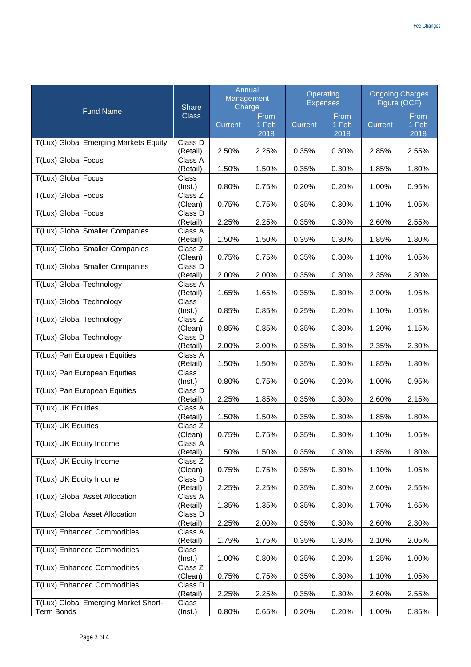| <b>Fund Name</b>                                   | Share<br><b>Class</b>    | Annual<br>Management<br>Charge |                       | Operating<br><b>Expenses</b> |                       | <b>Ongoing Charges</b><br>Figure (OCF) |                       |
|----------------------------------------------------|--------------------------|--------------------------------|-----------------------|------------------------------|-----------------------|----------------------------------------|-----------------------|
|                                                    |                          | Current                        | From<br>1 Feb<br>2018 | Current                      | From<br>1 Feb<br>2018 | Current                                | From<br>1 Feb<br>2018 |
| T(Lux) Global Emerging Markets Equity              | Class D<br>(Retail)      | 2.50%                          | 2.25%                 | 0.35%                        | 0.30%                 | 2.85%                                  | 2.55%                 |
| T(Lux) Global Focus                                | Class A<br>(Retail)      | 1.50%                          | 1.50%                 | 0.35%                        | 0.30%                 | 1.85%                                  | 1.80%                 |
| T(Lux) Global Focus                                | Class I<br>$($ Inst. $)$ | 0.80%                          | 0.75%                 | 0.20%                        | 0.20%                 | 1.00%                                  | 0.95%                 |
| T(Lux) Global Focus                                | Class Z<br>(Clean)       | 0.75%                          | 0.75%                 | 0.35%                        | 0.30%                 | 1.10%                                  | 1.05%                 |
| T(Lux) Global Focus                                | Class D<br>(Retail)      | 2.25%                          | 2.25%                 | 0.35%                        | 0.30%                 | 2.60%                                  | 2.55%                 |
| T(Lux) Global Smaller Companies                    | Class A<br>(Retail)      | 1.50%                          | 1.50%                 | 0.35%                        | 0.30%                 | 1.85%                                  | 1.80%                 |
| T(Lux) Global Smaller Companies                    | Class Z<br>(Clean)       | 0.75%                          | 0.75%                 | 0.35%                        | 0.30%                 | 1.10%                                  | 1.05%                 |
| T(Lux) Global Smaller Companies                    | Class D<br>(Retail)      | 2.00%                          | 2.00%                 | 0.35%                        | 0.30%                 | 2.35%                                  | 2.30%                 |
| T(Lux) Global Technology                           | Class A<br>(Retail)      | 1.65%                          | 1.65%                 | 0.35%                        | 0.30%                 | 2.00%                                  | 1.95%                 |
| <b>T(Lux) Global Technology</b>                    | Class I<br>$($ Inst. $)$ | 0.85%                          | 0.85%                 | 0.25%                        | 0.20%                 | 1.10%                                  | 1.05%                 |
| T(Lux) Global Technology                           | Class Z<br>(Clean)       | 0.85%                          | 0.85%                 | 0.35%                        | 0.30%                 | 1.20%                                  | 1.15%                 |
| T(Lux) Global Technology                           | Class D<br>(Retail)      | 2.00%                          | 2.00%                 | 0.35%                        | 0.30%                 | 2.35%                                  | 2.30%                 |
| T(Lux) Pan European Equities                       | Class A<br>(Retail)      | 1.50%                          | 1.50%                 | 0.35%                        | 0.30%                 | 1.85%                                  | 1.80%                 |
| T(Lux) Pan European Equities                       | Class I<br>$($ Inst. $)$ | 0.80%                          | 0.75%                 | 0.20%                        | 0.20%                 | 1.00%                                  | 0.95%                 |
| T(Lux) Pan European Equities                       | Class D<br>(Retail)      | 2.25%                          | 1.85%                 | 0.35%                        | 0.30%                 | 2.60%                                  | 2.15%                 |
| <b>T(Lux) UK Equities</b>                          | Class A<br>(Retail)      | 1.50%                          | 1.50%                 | 0.35%                        | 0.30%                 | 1.85%                                  | 1.80%                 |
| T(Lux) UK Equities                                 | Class Z<br>(Clean)       | 0.75%                          | 0.75%                 | 0.35%                        | 0.30%                 | 1.10%                                  | 1.05%                 |
| T(Lux) UK Equity Income                            | Class A<br>(Retail)      | 1.50%                          | 1.50%                 | 0.35%                        | 0.30%                 | 1.85%                                  | 1.80%                 |
| T(Lux) UK Equity Income                            | Class Z<br>(Clean)       | 0.75%                          | 0.75%                 | 0.35%                        | 0.30%                 | 1.10%                                  | 1.05%                 |
| T(Lux) UK Equity Income                            | Class D<br>(Retail)      | 2.25%                          | 2.25%                 | 0.35%                        | 0.30%                 | 2.60%                                  | 2.55%                 |
| T(Lux) Global Asset Allocation                     | Class A<br>(Retail)      | 1.35%                          | 1.35%                 | 0.35%                        | 0.30%                 | 1.70%                                  | 1.65%                 |
| T(Lux) Global Asset Allocation                     | Class D<br>(Retail)      | 2.25%                          | 2.00%                 | 0.35%                        | 0.30%                 | 2.60%                                  | 2.30%                 |
| T(Lux) Enhanced Commodities                        | Class A<br>(Retail)      | 1.75%                          | 1.75%                 | 0.35%                        | 0.30%                 | 2.10%                                  | 2.05%                 |
| T(Lux) Enhanced Commodities                        | Class I<br>$($ lnst. $)$ | 1.00%                          | 0.80%                 | 0.25%                        | 0.20%                 | 1.25%                                  | 1.00%                 |
| T(Lux) Enhanced Commodities                        | Class Z<br>(Clean)       | 0.75%                          | 0.75%                 | 0.35%                        | 0.30%                 | 1.10%                                  | 1.05%                 |
| T(Lux) Enhanced Commodities                        | Class D<br>(Retail)      | 2.25%                          | 2.25%                 | 0.35%                        | 0.30%                 | 2.60%                                  | 2.55%                 |
| T(Lux) Global Emerging Market Short-<br>Term Bonds | Class I<br>$($ lnst. $)$ | 0.80%                          | 0.65%                 | 0.20%                        | 0.20%                 | 1.00%                                  | 0.85%                 |